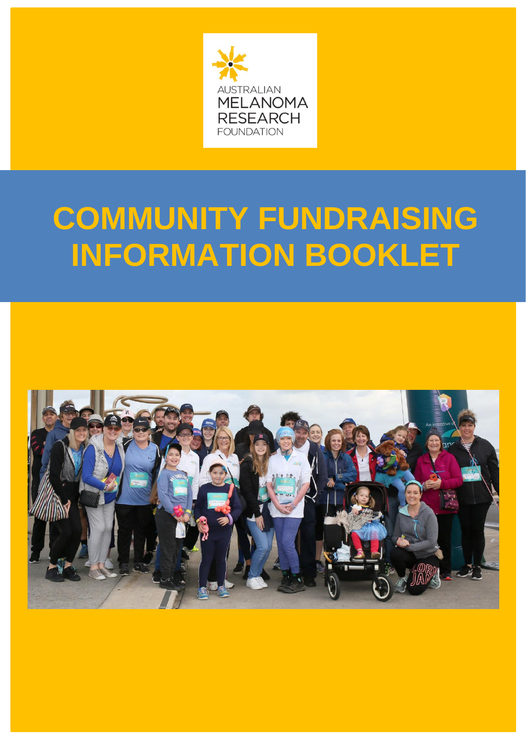

# **COMMUNITY FUNDRAISING INFORMATION BOOKLET**

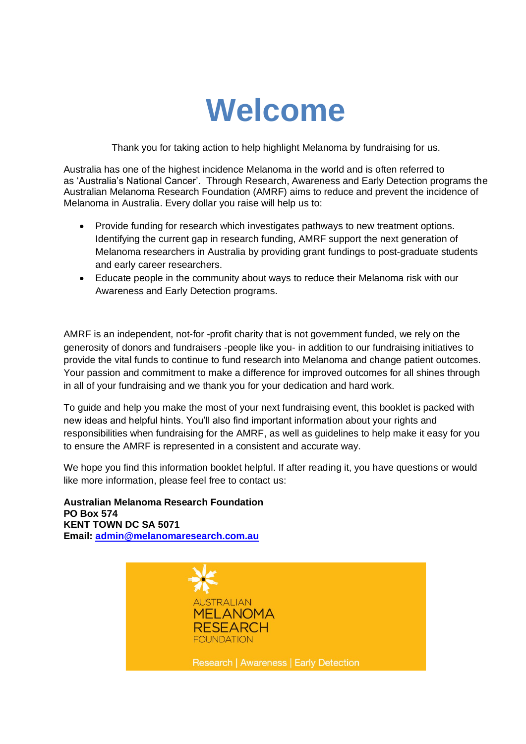

Thank you for taking action to help highlight Melanoma by fundraising for us.

Australia has one of the highest incidence Melanoma in the world and is often referred to as 'Australia's National Cancer'. Through Research, Awareness and Early Detection programs the Australian Melanoma Research Foundation (AMRF) aims to reduce and prevent the incidence of Melanoma in Australia. Every dollar you raise will help us to:

- Provide funding for research which investigates pathways to new treatment options. Identifying the current gap in research funding, AMRF support the next generation of Melanoma researchers in Australia by providing grant fundings to post-graduate students and early career researchers.
- Educate people in the community about ways to reduce their Melanoma risk with our Awareness and Early Detection programs.

AMRF is an independent, not-for -profit charity that is not government funded, we rely on the generosity of donors and fundraisers -people like you- in addition to our fundraising initiatives to provide the vital funds to continue to fund research into Melanoma and change patient outcomes. Your passion and commitment to make a difference for improved outcomes for all shines through in all of your fundraising and we thank you for your dedication and hard work.

To guide and help you make the most of your next fundraising event, this booklet is packed with new ideas and helpful hints. You'll also find important information about your rights and responsibilities when fundraising for the AMRF, as well as guidelines to help make it easy for you to ensure the AMRF is represented in a consistent and accurate way.

We hope you find this information booklet helpful. If after reading it, you have questions or would like more information, please feel free to contact us:

**Australian Melanoma Research Foundation PO Box 574 KENT TOWN DC SA 5071 Email: [admin@melanomaresearch.com.au](mailto:admin@melanomaresearch.com.au)**

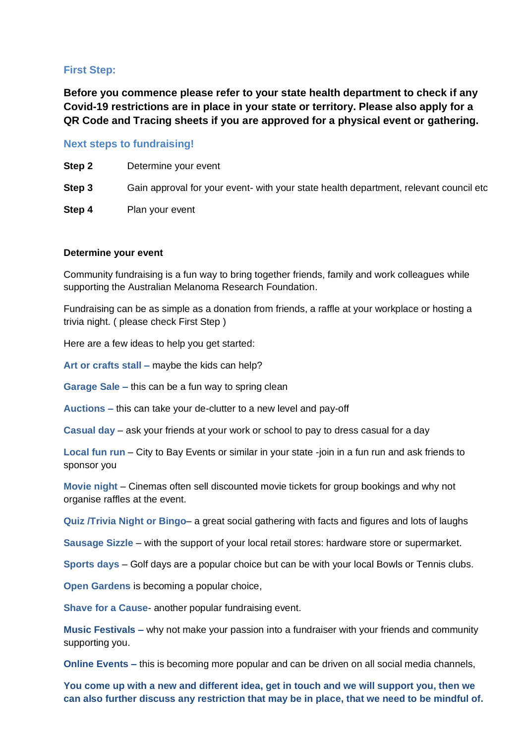# **First Step:**

**Before you commence please refer to your state health department to check if any Covid-19 restrictions are in place in your state or territory. Please also apply for a QR Code and Tracing sheets if you are approved for a physical event or gathering.**

# **Next steps to fundraising!**

**Step 2** Determine your event

**Step 3** Gain approval for your event- with your state health department, relevant council etc

**Step 4** Plan your event

#### **Determine your event**

Community fundraising is a fun way to bring together friends, family and work colleagues while supporting the Australian Melanoma Research Foundation.

Fundraising can be as simple as a donation from friends, a raffle at your workplace or hosting a trivia night. ( please check First Step )

Here are a few ideas to help you get started:

**Art or crafts stall –** maybe the kids can help?

**Garage Sale –** this can be a fun way to spring clean

**Auctions –** this can take your de-clutter to a new level and pay-off

**Casual day** – ask your friends at your work or school to pay to dress casual for a day

**Local fun run** – City to Bay Events or similar in your state -join in a fun run and ask friends to sponsor you

**Movie night** – Cinemas often sell discounted movie tickets for group bookings and why not organise raffles at the event.

**Quiz /Trivia Night or Bingo**– a great social gathering with facts and figures and lots of laughs

**Sausage Sizzle** – with the support of your local retail stores: hardware store or supermarket.

**Sports days** – Golf days are a popular choice but can be with your local Bowls or Tennis clubs.

**Open Gardens** is becoming a popular choice,

**Shave for a Cause**- another popular fundraising event.

**Music Festivals –** why not make your passion into a fundraiser with your friends and community supporting you.

**Online Events –** this is becoming more popular and can be driven on all social media channels,

**You come up with a new and different idea, get in touch and we will support you, then we can also further discuss any restriction that may be in place, that we need to be mindful of.**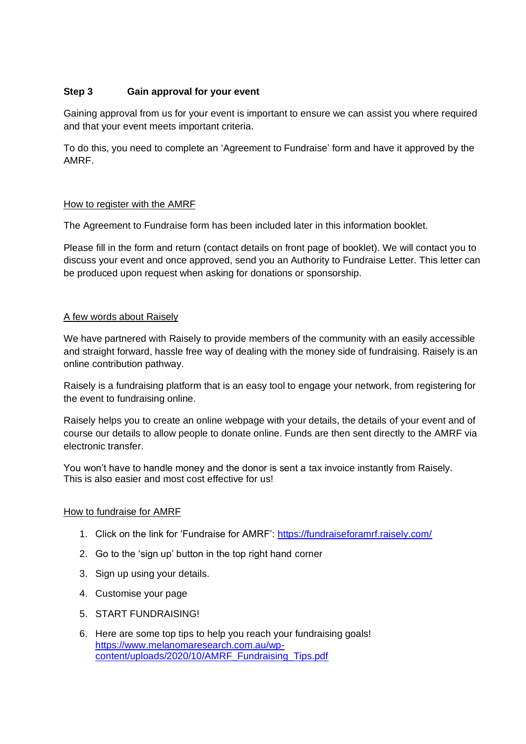# **Step 3 Gain approval for your event**

Gaining approval from us for your event is important to ensure we can assist you where required and that your event meets important criteria.

To do this, you need to complete an 'Agreement to Fundraise' form and have it approved by the AMRF.

## How to register with the AMRF

The Agreement to Fundraise form has been included later in this information booklet.

Please fill in the form and return (contact details on front page of booklet). We will contact you to discuss your event and once approved, send you an Authority to Fundraise Letter. This letter can be produced upon request when asking for donations or sponsorship.

## A few words about Raisely

We have partnered with Raisely to provide members of the community with an easily accessible and straight forward, hassle free way of dealing with the money side of fundraising. Raisely is an online contribution pathway.

Raisely is a fundraising platform that is an easy tool to engage your network, from registering for the event to fundraising online.

Raisely helps you to create an online webpage with your details, the details of your event and of course our details to allow people to donate online. Funds are then sent directly to the AMRF via electronic transfer.

You won't have to handle money and the donor is sent a tax invoice instantly from Raisely. This is also easier and most cost effective for us!

#### How to fundraise for AMRF

- 1. Click on the link for 'Fundraise for AMRF':<https://fundraiseforamrf.raisely.com/>
- 2. Go to the 'sign up' button in the top right hand corner
- 3. Sign up using your details.
- 4. Customise your page
- 5. START FUNDRAISING!
- 6. Here are some top tips to help you reach your fundraising goals! [https://www.melanomaresearch.com.au/wp](https://www.melanomaresearch.com.au/wp-content/uploads/2020/10/AMRF_Fundraising_Tips.pdf)[content/uploads/2020/10/AMRF\\_Fundraising\\_Tips.pdf](https://www.melanomaresearch.com.au/wp-content/uploads/2020/10/AMRF_Fundraising_Tips.pdf)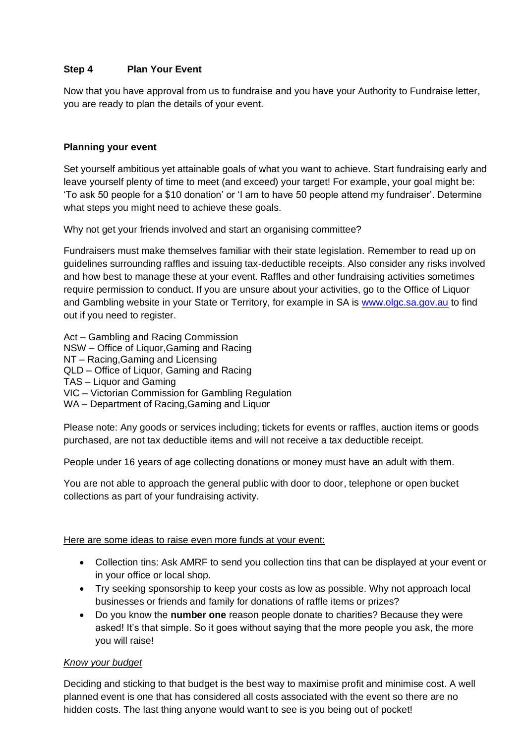# **Step 4 Plan Your Event**

Now that you have approval from us to fundraise and you have your Authority to Fundraise letter, you are ready to plan the details of your event.

## **Planning your event**

Set yourself ambitious yet attainable goals of what you want to achieve. Start fundraising early and leave yourself plenty of time to meet (and exceed) your target! For example, your goal might be: 'To ask 50 people for a \$10 donation' or 'I am to have 50 people attend my fundraiser'. Determine what steps you might need to achieve these goals.

Why not get your friends involved and start an organising committee?

Fundraisers must make themselves familiar with their state legislation. Remember to read up on guidelines surrounding raffles and issuing tax-deductible receipts. Also consider any risks involved and how best to manage these at your event. Raffles and other fundraising activities sometimes require permission to conduct. If you are unsure about your activities, go to the Office of Liquor and Gambling website in your State or Territory, for example in SA is [www.olgc.sa.gov.au](http://www.olgc.sa.gov.au/) to find out if you need to register.

Act – Gambling and Racing Commission NSW – Office of Liquor,Gaming and Racing NT – Racing,Gaming and Licensing QLD – Office of Liquor, Gaming and Racing TAS – Liquor and Gaming VIC – Victorian Commission for Gambling Regulation WA – Department of Racing,Gaming and Liquor

Please note: Any goods or services including; tickets for events or raffles, auction items or goods purchased, are not tax deductible items and will not receive a tax deductible receipt.

People under 16 years of age collecting donations or money must have an adult with them.

You are not able to approach the general public with door to door, telephone or open bucket collections as part of your fundraising activity.

# Here are some ideas to raise even more funds at your event:

- Collection tins: Ask AMRF to send you collection tins that can be displayed at your event or in your office or local shop.
- Try seeking sponsorship to keep your costs as low as possible. Why not approach local businesses or friends and family for donations of raffle items or prizes?
- Do you know the **number one** reason people donate to charities? Because they were asked! It's that simple. So it goes without saying that the more people you ask, the more you will raise!

# *Know your budget*

Deciding and sticking to that budget is the best way to maximise profit and minimise cost. A well planned event is one that has considered all costs associated with the event so there are no hidden costs. The last thing anyone would want to see is you being out of pocket!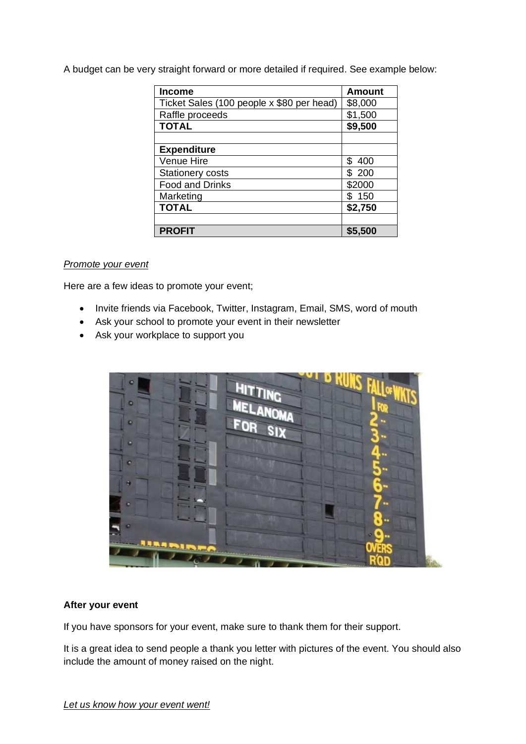A budget can be very straight forward or more detailed if required. See example below:

| <b>Income</b>                             | <b>Amount</b> |
|-------------------------------------------|---------------|
| Ticket Sales (100 people x \$80 per head) | \$8,000       |
| Raffle proceeds                           | \$1,500       |
| <b>TOTAL</b>                              | \$9,500       |
|                                           |               |
| <b>Expenditure</b>                        |               |
| <b>Venue Hire</b>                         | \$400         |
| Stationery costs                          | \$200         |
| <b>Food and Drinks</b>                    | \$2000        |
| Marketing                                 | \$150         |
| <b>TOTAL</b>                              | \$2,750       |
|                                           |               |
| <b>PROFIT</b>                             | \$5,500       |

#### *Promote your event*

Here are a few ideas to promote your event;

- Invite friends via Facebook, Twitter, Instagram, Email, SMS, word of mouth
- Ask your school to promote your event in their newsletter
- Ask your workplace to support you



#### **After your event**

If you have sponsors for your event, make sure to thank them for their support.

It is a great idea to send people a thank you letter with pictures of the event. You should also include the amount of money raised on the night.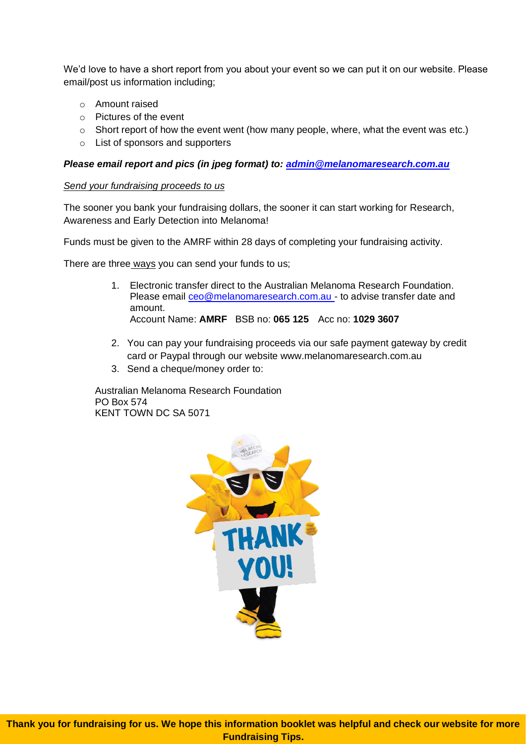We'd love to have a short report from you about your event so we can put it on our website. Please email/post us information including;

- o Amount raised
- o Pictures of the event
- o Short report of how the event went (how many people, where, what the event was etc.)
- o List of sponsors and supporters

## *Please email report and pics (in jpeg format) to: [admin@melanomaresearch.com.au](mailto:admin@melanomaresearch.com.au)*

#### *Send your fundraising proceeds to us*

The sooner you bank your fundraising dollars, the sooner it can start working for Research, Awareness and Early Detection into Melanoma!

Funds must be given to the AMRF within 28 days of completing your fundraising activity.

There are three ways you can send your funds to us;

- 1. Electronic transfer direct to the Australian Melanoma Research Foundation. Please email [ceo@melanomaresearch.com.au](mailto:ceo@melanomaresearch.com.au) - to advise transfer date and amount. Account Name: **AMRF** BSB no: **065 125** Acc no: **1029 3607**
- 2. You can pay your fundraising proceeds via our safe payment gateway by credit card or Paypal through our website www.melanomaresearch.com.au
- 3. Send a cheque/money order to:

Australian Melanoma Research Foundation PO Box 574 KENT TOWN DC SA 5071

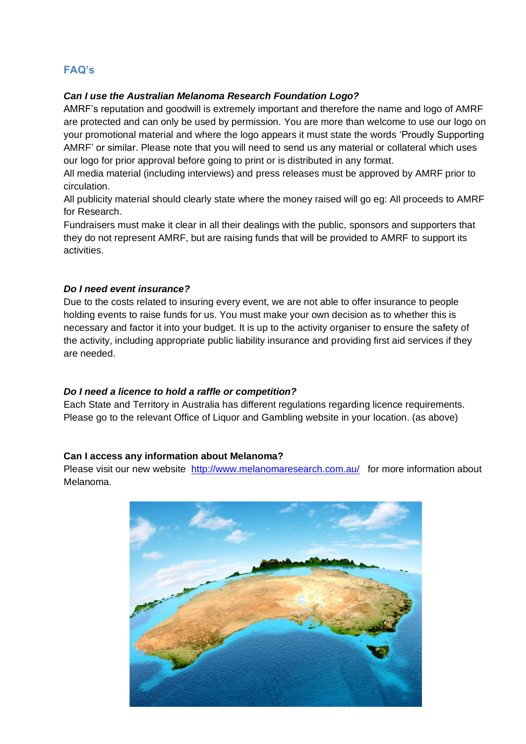# **FAQ's**

## *Can I use the Australian Melanoma Research Foundation Logo?*

AMRF's reputation and goodwill is extremely important and therefore the name and logo of AMRF are protected and can only be used by permission. You are more than welcome to use our logo on your promotional material and where the logo appears it must state the words 'Proudly Supporting AMRF' or similar. Please note that you will need to send us any material or collateral which uses our logo for prior approval before going to print or is distributed in any format.

All media material (including interviews) and press releases must be approved by AMRF prior to circulation.

All publicity material should clearly state where the money raised will go eg: All proceeds to AMRF for Research.

Fundraisers must make it clear in all their dealings with the public, sponsors and supporters that they do not represent AMRF, but are raising funds that will be provided to AMRF to support its activities.

#### *Do I need event insurance?*

Due to the costs related to insuring every event, we are not able to offer insurance to people holding events to raise funds for us. You must make your own decision as to whether this is necessary and factor it into your budget. It is up to the activity organiser to ensure the safety of the activity, including appropriate public liability insurance and providing first aid services if they are needed.

#### *Do I need a licence to hold a raffle or competition?*

Each State and Territory in Australia has different regulations regarding licence requirements. Please go to the relevant Office of Liquor and Gambling website in your location. (as above)

#### **Can I access any information about Melanoma?**

Please visit our new website <http://www.melanomaresearch.com.au/> for more information about Melanoma.

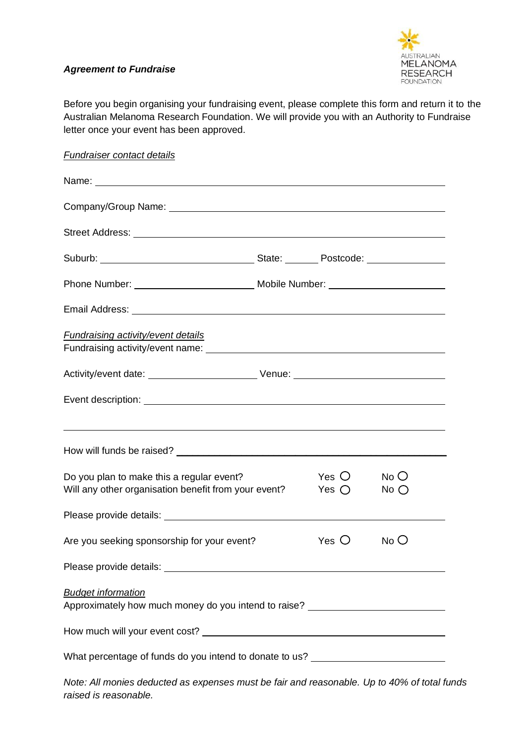

## *Agreement to Fundraise*

Before you begin organising your fundraising event, please complete this form and return it to the Australian Melanoma Research Foundation. We will provide you with an Authority to Fundraise letter once your event has been approved.

| <b>Fundraiser contact details</b>                                                                             |                                  |                  |
|---------------------------------------------------------------------------------------------------------------|----------------------------------|------------------|
|                                                                                                               |                                  |                  |
|                                                                                                               |                                  |                  |
|                                                                                                               |                                  |                  |
|                                                                                                               |                                  |                  |
|                                                                                                               |                                  |                  |
|                                                                                                               |                                  |                  |
| <b>Fundraising activity/event details</b>                                                                     |                                  |                  |
|                                                                                                               |                                  |                  |
|                                                                                                               |                                  |                  |
|                                                                                                               |                                  |                  |
| Do you plan to make this a regular event?<br>Will any other organisation benefit from your event?             | Yes $\bigcirc$<br>Yes $\bigcirc$ | No O<br>$No$ $O$ |
|                                                                                                               |                                  |                  |
| Are you seeking sponsorship for your event?                                                                   | $Yes$ $O$                        | No O             |
|                                                                                                               |                                  |                  |
| <b>Budget information</b><br>Approximately how much money do you intend to raise? ___________________________ |                                  |                  |
|                                                                                                               |                                  |                  |
| What percentage of funds do you intend to donate to us? ________________________                              |                                  |                  |

*Note: All monies deducted as expenses must be fair and reasonable. Up to 40% of total funds raised is reasonable.*